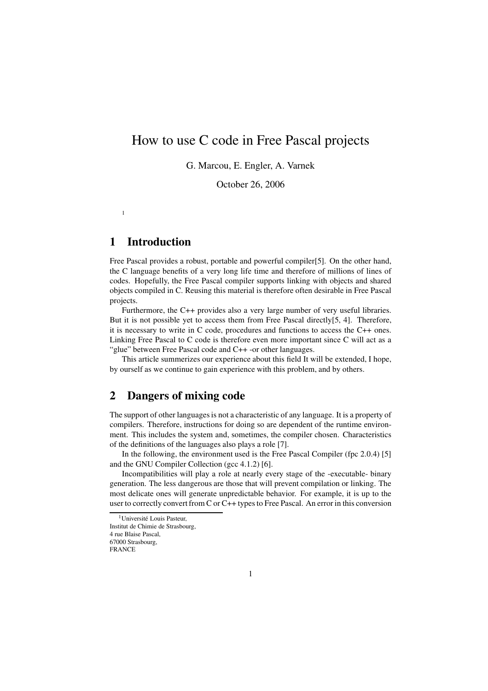# How to use C code in Free Pascal projects

G. Marcou, E. Engler, A. Varnek

October 26, 2006

## **1 Introduction**

1

Free Pascal provides a robust, portable and powerful compiler[5]. On the other hand, the C language benefits of a very long life time and therefore of millions of lines of codes. Hopefully, the Free Pascal compiler supports linking with objects and shared objects compiled in C. Reusing this material is therefore often desirable in Free Pascal projects.

Furthermore, the C++ provides also a very large number of very useful libraries. But it is not possible yet to access them from Free Pascal directly[5, 4]. Therefore, it is necessary to write in C code, procedures and functions to access the C++ ones. Linking Free Pascal to C code is therefore even more important since C will act as a "glue" between Free Pascal code and C++ -or other languages.

This article summerizes our experience about this field It will be extended, I hope, by ourself as we continue to gain experience with this problem, and by others.

### **2 Dangers of mixing code**

The support of other languages is not a characteristic of any language. It is a property of compilers. Therefore, instructions for doing so are dependent of the runtime environment. This includes the system and, sometimes, the compiler chosen. Characteristics of the definitions of the languages also plays a role [7].

In the following, the environment used is the Free Pascal Compiler (fpc 2.0.4) [5] and the GNU Compiler Collection (gcc 4.1.2) [6].

Incompatibilities will play a role at nearly every stage of the -executable- binary generation. The less dangerous are those that will prevent compilation or linking. The most delicate ones will generate unpredictable behavior. For example, it is up to the user to correctly convertfrom C or C++ typesto Free Pascal. An error in this conversion

FRANCE

<sup>&</sup>lt;sup>1</sup>Université Louis Pasteur.

Institut de Chimie de Strasbourg,

<sup>4</sup> rue Blaise Pascal, 67000 Strasbourg,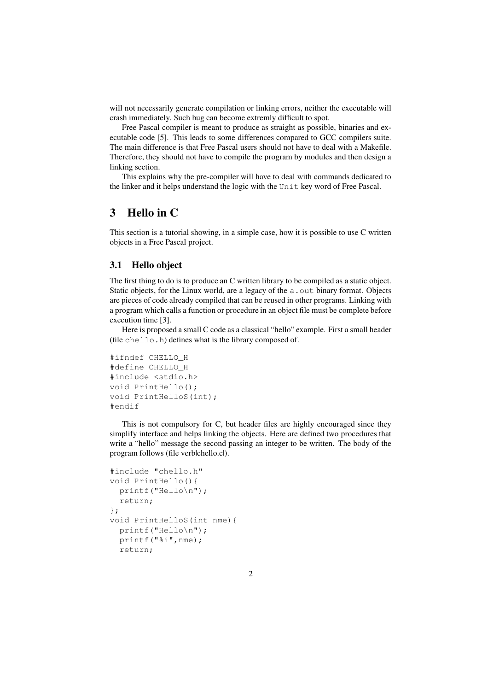will not necessarily generate compilation or linking errors, neither the executable will crash immediately. Such bug can become extremly difficult to spot.

Free Pascal compiler is meant to produce as straight as possible, binaries and executable code [5]. This leads to some differences compared to GCC compilers suite. The main difference is that Free Pascal users should not have to deal with a Makefile. Therefore, they should not have to compile the program by modules and then design a linking section.

This explains why the pre-compiler will have to deal with commands dedicated to the linker and it helps understand the logic with the Unit key word of Free Pascal.

## **3 Hello in C**

This section is a tutorial showing, in a simple case, how it is possible to use C written objects in a Free Pascal project.

#### **3.1 Hello object**

The first thing to do is to produce an C written library to be compiled as a static object. Static objects, for the Linux world, are a legacy of the a. out binary format. Objects are pieces of code already compiled that can be reused in other programs. Linking with a program which calls a function or procedure in an object file must be complete before execution time [3].

Here is proposed a small C code as a classical "hello" example. First a small header (file chello.h) defines what is the library composed of.

```
#ifndef CHELLO_H
#define CHELLO_H
#include <stdio.h>
void PrintHello();
void PrintHelloS(int);
#endif
```
This is not compulsory for C, but header files are highly encouraged since they simplify interface and helps linking the objects. Here are defined two procedures that write a "hello" message the second passing an integer to be written. The body of the program follows (file verblchello.cl).

```
#include "chello.h"
void PrintHello(){
 printf("Hello\n");
 return;
};
void PrintHelloS(int nme){
  printf("Hello\n");
  printf("%i",nme);
  return;
```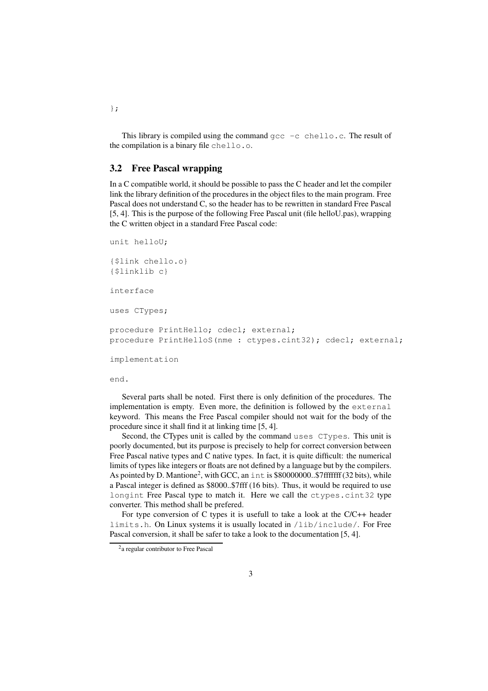This library is compiled using the command  $qcc -c$  chello.c. The result of the compilation is a binary file chello.o.

#### **3.2 Free Pascal wrapping**

In a C compatible world, it should be possible to pass the C header and let the compiler link the library definition of the procedures in the object files to the main program. Free Pascal does not understand C, so the header has to be rewritten in standard Free Pascal [5, 4]. This is the purpose of the following Free Pascal unit (file helloU.pas), wrapping the C written object in a standard Free Pascal code:

```
unit helloU;
{$link chello.o}
{$linklib c}
interface
uses CTypes;
procedure PrintHello; cdecl; external;
procedure PrintHelloS(nme : ctypes.cint32); cdecl; external;
implementation
```
end.

Several parts shall be noted. First there is only definition of the procedures. The implementation is empty. Even more, the definition is followed by the external keyword. This means the Free Pascal compiler should not wait for the body of the procedure since it shall find it at linking time [5, 4].

Second, the CTypes unit is called by the command uses CTypes. This unit is poorly documented, but its purpose is precisely to help for correct conversion between Free Pascal native types and C native types. In fact, it is quite difficult: the numerical limits of types like integers or floats are not defined by a language but by the compilers. As pointed by D. Mantione<sup>2</sup>, with GCC, an int is \$80000000..\$7fffffff (32 bits), while a Pascal integer is defined as \$8000..\$7fff (16 bits). Thus, it would be required to use longint Free Pascal type to match it. Here we call the ctypes.cint32 type converter. This method shall be prefered.

For type conversion of C types it is usefull to take a look at the C/C++ header limits.h. On Linux systems it is usually located in /lib/include/. For Free Pascal conversion, it shall be safer to take a look to the documentation [5, 4].

};

<sup>&</sup>lt;sup>2</sup>a regular contributor to Free Pascal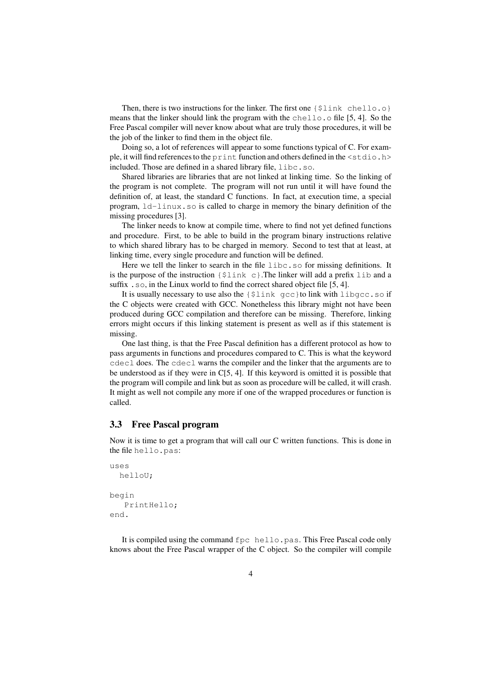Then, there is two instructions for the linker. The first one  $\{\frac{1}{2}$  ink chello.o} means that the linker should link the program with the chello.o file [5, 4]. So the Free Pascal compiler will never know about what are truly those procedures, it will be the job of the linker to find them in the object file.

Doing so, a lot of references will appear to some functions typical of C. For example, it will find references to the print function and others defined in the <stdio.h> included. Those are defined in a shared library file, libc.so.

Shared libraries are libraries that are not linked at linking time. So the linking of the program is not complete. The program will not run until it will have found the definition of, at least, the standard C functions. In fact, at execution time, a special program, ld-linux.so is called to charge in memory the binary definition of the missing procedures [3].

The linker needs to know at compile time, where to find not yet defined functions and procedure. First, to be able to build in the program binary instructions relative to which shared library has to be charged in memory. Second to test that at least, at linking time, every single procedure and function will be defined.

Here we tell the linker to search in the file libc.so for missing definitions. It is the purpose of the instruction  $\{\xi \text{link } c\}$ . The linker will add a prefix lib and a suffix . so, in the Linux world to find the correct shared object file [5, 4].

It is usually necessary to use also the  $\{\sinh\varphi\}$  gcc  $\sinh\varphi\$  link with libgcc.so if the C objects were created with GCC. Nonetheless this library might not have been produced during GCC compilation and therefore can be missing. Therefore, linking errors might occurs if this linking statement is present as well as if this statement is missing.

One last thing, is that the Free Pascal definition has a different protocol as how to pass arguments in functions and procedures compared to C. This is what the keyword cdecl does. The cdecl warns the compiler and the linker that the arguments are to be understood as if they were in C[5, 4]. If this keyword is omitted it is possible that the program will compile and link but as soon as procedure will be called, it will crash. It might as well not compile any more if one of the wrapped procedures or function is called.

#### **3.3 Free Pascal program**

Now it is time to get a program that will call our C written functions. This is done in the file hello.pas:

```
uses
  helloU;
begin
   PrintHello;
end.
```
It is compiled using the command fpc hello.pas. This Free Pascal code only knows about the Free Pascal wrapper of the C object. So the compiler will compile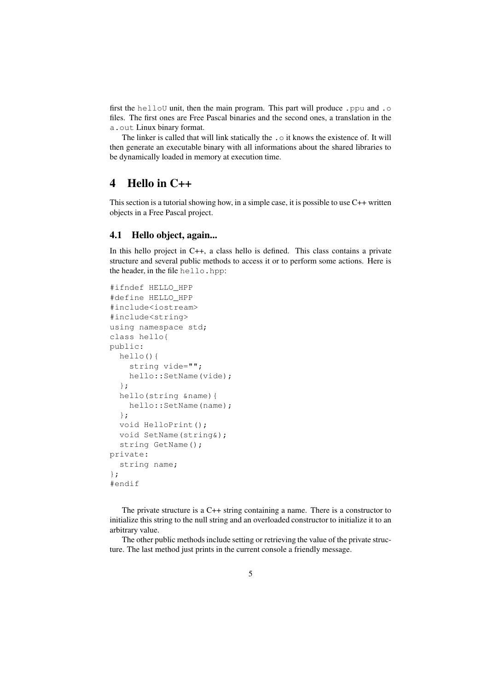first the helloU unit, then the main program. This part will produce .ppu and .o files. The first ones are Free Pascal binaries and the second ones, a translation in the a.out Linux binary format.

The linker is called that will link statically the  $\cdot \circ$  it knows the existence of. It will then generate an executable binary with all informations about the shared libraries to be dynamically loaded in memory at execution time.

### **4 Hello in C++**

This section is a tutorial showing how, in a simple case, it is possible to use C++ written objects in a Free Pascal project.

#### **4.1 Hello object, again...**

In this hello project in C++, a class hello is defined. This class contains a private structure and several public methods to access it or to perform some actions. Here is the header, in the file hello.hpp:

```
#ifndef HELLO_HPP
#define HELLO_HPP
#include<iostream>
#include<string>
using namespace std;
class hello{
public:
 hello(){
    string vide="";
    hello::SetName(vide);
  };
  hello(string &name){
    hello::SetName(name);
  };
  void HelloPrint();
 void SetName(string&);
 string GetName();
private:
  string name;
};
#endif
```
The private structure is a C++ string containing a name. There is a constructor to initialize this string to the null string and an overloaded constructor to initialize it to an arbitrary value.

The other public methods include setting or retrieving the value of the private structure. The last method just prints in the current console a friendly message.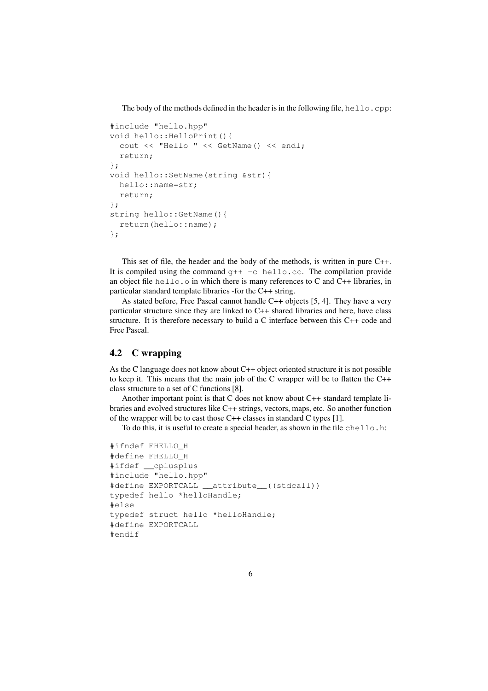The body of the methods defined in the header is in the following file,  $hello$ .cpp:

```
#include "hello.hpp"
void hello::HelloPrint(){
  cout << "Hello " << GetName() << endl;
  return;
};
void hello::SetName(string &str){
 hello::name=str;
 return;
};
string hello::GetName(){
  return(hello::name);
};
```
This set of file, the header and the body of the methods, is written in pure C++. It is compiled using the command  $q++-c$  hello.cc. The compilation provide an object file hello.o in which there is many references to C and C++ libraries, in particular standard template libraries -for the C++ string.

As stated before, Free Pascal cannot handle C++ objects [5, 4]. They have a very particular structure since they are linked to C++ shared libraries and here, have class structure. It is therefore necessary to build a C interface between this C++ code and Free Pascal.

#### **4.2 C wrapping**

As the C language does not know about C++ object oriented structure it is not possible to keep it. This means that the main job of the C wrapper will be to flatten the C++ class structure to a set of C functions [8].

Another important point is that C does not know about C++ standard template libraries and evolved structures like C++ strings, vectors, maps, etc. So another function of the wrapper will be to cast those C++ classes in standard C types [1].

To do this, it is useful to create a special header, as shown in the file chello.h:

```
#ifndef FHELLO_H
#define FHELLO_H
#ifdef __cplusplus
#include "hello.hpp"
#define EXPORTCALL __attribute__((stdcall))
typedef hello *helloHandle;
#else
typedef struct hello *helloHandle;
#define EXPORTCALL
#endif
```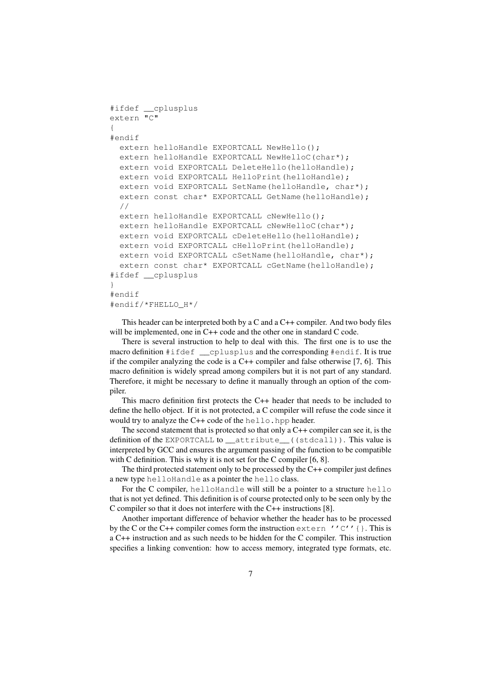```
#ifdef __cplusplus
extern "C"
{
#endif
  extern helloHandle EXPORTCALL NewHello();
  extern helloHandle EXPORTCALL NewHelloC(char*);
  extern void EXPORTCALL DeleteHello(helloHandle);
  extern void EXPORTCALL HelloPrint(helloHandle);
  extern void EXPORTCALL SetName(helloHandle, char*);
  extern const char* EXPORTCALL GetName (helloHandle):
  //
  extern helloHandle EXPORTCALL cNewHello():
  extern helloHandle EXPORTCALL cNewHelloC(char*);
  extern void EXPORTCALL cDeleteHello(helloHandle);
  extern void EXPORTCALL cHelloPrint(helloHandle);
  extern void EXPORTCALL cSetName(helloHandle, char*);
  extern const char* EXPORTCALL cGetName(helloHandle);
#ifdef __cplusplus
}
#endif
#endif/*FHELLO_H*/
```
This header can be interpreted both by a C and a  $C++$  compiler. And two body files will be implemented, one in C++ code and the other one in standard C code.

There is several instruction to help to deal with this. The first one is to use the macro definition #ifdef \_\_cplusplus and the corresponding #endif. It is true if the compiler analyzing the code is a C++ compiler and false otherwise [7, 6]. This macro definition is widely spread among compilers but it is not part of any standard. Therefore, it might be necessary to define it manually through an option of the compiler.

This macro definition first protects the C++ header that needs to be included to define the hello object. If it is not protected, a C compiler will refuse the code since it would try to analyze the  $C++$  code of the hello.hpp header.

The second statement that is protected so that only a C++ compiler can see it, is the definition of the EXPORTCALL to attribute ((stdcall)). This value is interpreted by GCC and ensures the argument passing of the function to be compatible with C definition. This is why it is not set for the C compiler [6, 8].

The third protected statement only to be processed by the C++ compiler just defines a new type helloHandle as a pointer the hello class.

For the C compiler, helloHandle will still be a pointer to a structure hello that is not yet defined. This definition is of course protected only to be seen only by the C compiler so that it does not interfere with the C++ instructions [8].

Another important difference of behavior whether the header has to be processed by the C or the C++ compiler comes form the instruction extern ''C''{}. This is a C++ instruction and as such needs to be hidden for the C compiler. This instruction specifies a linking convention: how to access memory, integrated type formats, etc.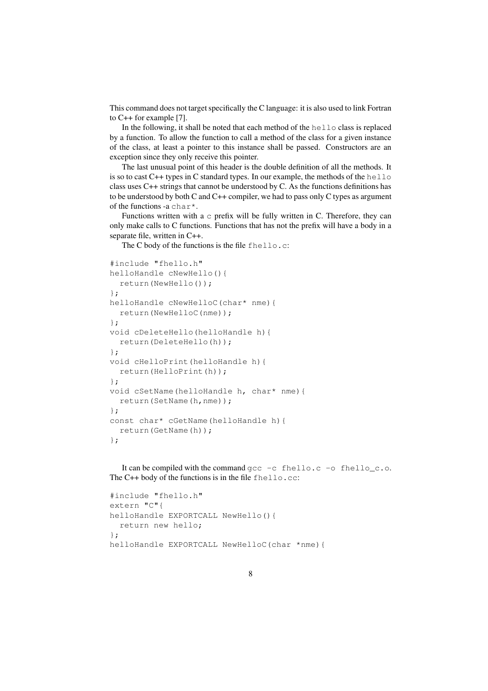This command does not target specifically the C language: it is also used to link Fortran to C++ for example [7].

In the following, it shall be noted that each method of the hello class is replaced by a function. To allow the function to call a method of the class for a given instance of the class, at least a pointer to this instance shall be passed. Constructors are an exception since they only receive this pointer.

The last unusual point of this header is the double definition of all the methods. It is so to cast  $C++$  types in C standard types. In our example, the methods of the hello class uses C++ strings that cannot be understood by C. As the functions definitions has to be understood by both C and C++ compiler, we had to pass only C types as argument of the functions -a char\*.

Functions written with a  $\sigma$  prefix will be fully written in C. Therefore, they can only make calls to C functions. Functions that has not the prefix will have a body in a separate file, written in C++.

The C body of the functions is the file fhello.c:

```
#include "fhello.h"
helloHandle cNewHello(){
 return(NewHello());
};
helloHandle cNewHelloC(char* nme){
  return(NewHelloC(nme));
};
void cDeleteHello(helloHandle h){
 return(DeleteHello(h));
};
void cHelloPrint(helloHandle h){
  return(HelloPrint(h));
};
void cSetName(helloHandle h, char* nme){
  return(SetName(h,nme));
};
const char* cGetName(helloHandle h){
 return(GetName(h));
};
```
It can be compiled with the command gcc -c fhello.c -o fhello\_c.o. The C++ body of the functions is in the file fhello.cc:

```
#include "fhello.h"
extern "C"{
helloHandle EXPORTCALL NewHello(){
  return new hello;
};
helloHandle EXPORTCALL NewHelloC(char *nme){
```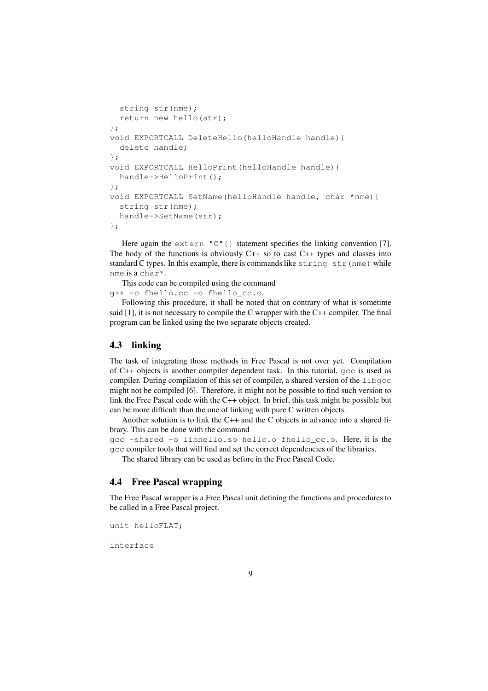```
string str(nme);
 return new hello(str);
};
void EXPORTCALL DeleteHello(helloHandle handle){
 delete handle;
};
void EXPORTCALL HelloPrint(helloHandle handle){
 handle->HelloPrint();
};
void EXPORTCALL SetName(helloHandle handle, char *nme){
  string str(nme);
  handle->SetName(str);
};
```
Here again the extern  $\mathbb{C}^{\mathsf{T}}\{\}$  statement specifies the linking convention [7]. The body of the functions is obviously C++ so to cast C++ types and classes into standard C types. In this example, there is commands like  $string \text{str}(nme)$  while nme is a char\*.

This code can be compiled using the command g++ -c fhello.cc -o fhello\_cc.o.

Following this procedure, it shall be noted that on contrary of what is sometime said  $[1]$ , it is not necessary to compile the C wrapper with the C++ compiler. The final program can be linked using the two separate objects created.

#### **4.3 linking**

The task of integrating those methods in Free Pascal is not over yet. Compilation of C++ objects is another compiler dependent task. In this tutorial, gcc is used as compiler. During compilation of this set of compiler, a shared version of the libgcc might not be compiled [6]. Therefore, it might not be possible to find such version to link the Free Pascal code with the C++ object. In brief, this task might be possible but can be more difficult than the one of linking with pure C written objects.

Another solution is to link the C++ and the C objects in advance into a shared library. This can be done with the command

gcc -shared -o libhello.so hello.o fhello\_cc.o. Here, it is the gcc compiler tools that will find and set the correct dependencies of the libraries.

The shared library can be used as before in the Free Pascal Code.

#### **4.4 Free Pascal wrapping**

The Free Pascal wrapper is a Free Pascal unit defining the functions and procedures to be called in a Free Pascal project.

unit helloFLAT;

interface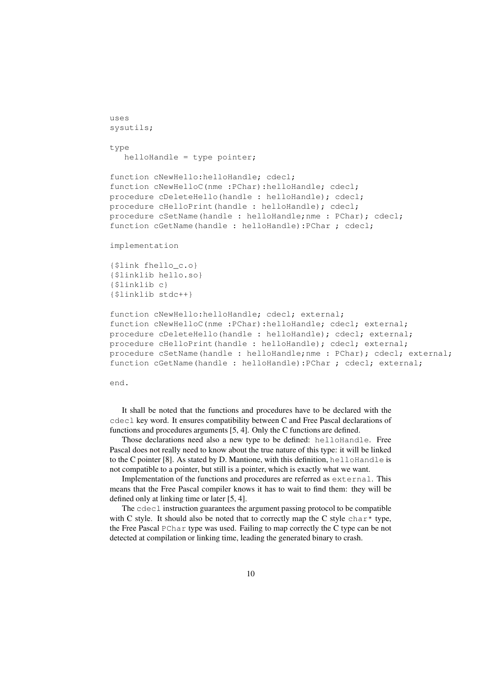```
uses
sysutils;
type
  helloHandle = type pointer;
function cNewHello:helloHandle; cdecl;
function cNewHelloC(nme :PChar):helloHandle; cdecl;
procedure cDeleteHello(handle : helloHandle); cdecl;
procedure cHelloPrint(handle : helloHandle); cdecl;
procedure cSetName(handle : helloHandle;nme : PChar); cdecl;
function cGetName(handle : helloHandle):PChar ; cdecl;
implementation
{$link fhello_c.o}
{$linklib hello.so}
{$linklib c}
{$linklib stdc++}
function cNewHello:helloHandle; cdecl; external;
function cNewHelloC(nme :PChar):helloHandle; cdecl; external;
procedure cDeleteHello(handle : helloHandle); cdecl; external;
procedure cHelloPrint(handle : helloHandle); cdecl; external;
procedure cSetName(handle : helloHandle;nme : PChar); cdecl; external;
function cGetName(handle : helloHandle):PChar ; cdecl; external;
```
end.

It shall be noted that the functions and procedures have to be declared with the cdecl key word. It ensures compatibility between C and Free Pascal declarations of functions and procedures arguments [5, 4]. Only the C functions are defined.

Those declarations need also a new type to be defined: helloHandle. Free Pascal does not really need to know about the true nature of this type: it will be linked to the C pointer [8]. As stated by D. Mantione, with this definition, helloHandle is not compatible to a pointer, but still is a pointer, which is exactly what we want.

Implementation of the functions and procedures are referred as external. This means that the Free Pascal compiler knows it has to wait to find them: they will be defined only at linking time or later [5, 4].

The  $\text{cdec1}$  instruction guarantees the argument passing protocol to be compatible with C style. It should also be noted that to correctly map the C style char\* type, the Free Pascal PChar type was used. Failing to map correctly the C type can be not detected at compilation or linking time, leading the generated binary to crash.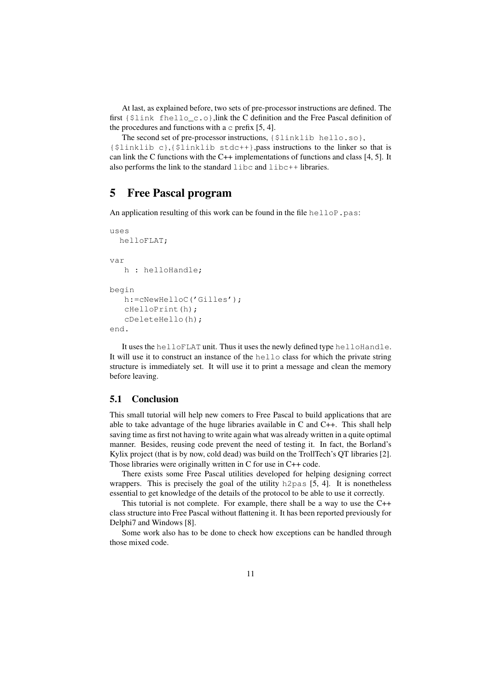At last, as explained before, two sets of pre-processor instructions are defined. The first {\$link fhello\_c.o},link the C definition and the Free Pascal definition of the procedures and functions with a  $\circ$  prefix [5, 4].

The second set of pre-processor instructions, {\$linklib hello.so}, {\$linklib c},{\$linklib stdc++},pass instructions to the linker so that is can link the C functions with the C++ implementations of functions and class [4, 5]. It also performs the link to the standard  $\exists$  ibc and  $\exists$  ibc++ libraries.

### **5 Free Pascal program**

An application resulting of this work can be found in the file hellop.pas:

```
uses
  helloFLAT;
var
   h : helloHandle;
begin
   h:=cNewHelloC('Gilles');
   cHelloPrint(h);
   cDeleteHello(h);
end.
```
It uses the helloFLAT unit. Thus it uses the newly defined type helloHandle. It will use it to construct an instance of the hello class for which the private string structure is immediately set. It will use it to print a message and clean the memory before leaving.

#### **5.1 Conclusion**

This small tutorial will help new comers to Free Pascal to build applications that are able to take advantage of the huge libraries available in C and C++. This shall help saving time as first not having to write again what was already written in a quite optimal manner. Besides, reusing code prevent the need of testing it. In fact, the Borland's Kylix project (that is by now, cold dead) was build on the TrollTech's QT libraries [2]. Those libraries were originally written in C for use in C++ code.

There exists some Free Pascal utilities developed for helping designing correct wrappers. This is precisely the goal of the utility h2pas [5, 4]. It is nonetheless essential to get knowledge of the details of the protocol to be able to use it correctly.

This tutorial is not complete. For example, there shall be a way to use the C++ class structure into Free Pascal without flattening it. It has been reported previously for Delphi7 and Windows [8].

Some work also has to be done to check how exceptions can be handled through those mixed code.